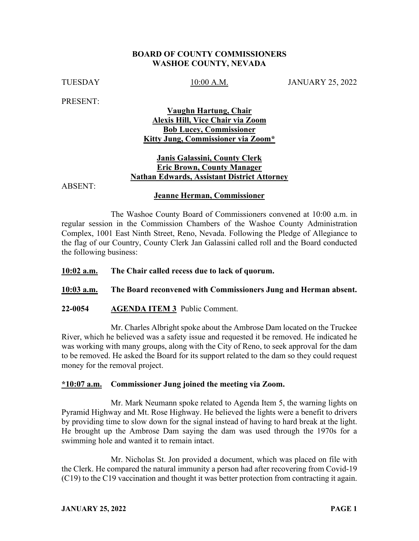## **BOARD OF COUNTY COMMISSIONERS WASHOE COUNTY, NEVADA**

TUESDAY 10:00 A.M. JANUARY 25, 2022

PRESENT:

# **Vaughn Hartung, Chair Alexis Hill, Vice Chair via Zoom Bob Lucey, Commissioner Kitty Jung, Commissioner via Zoom\***

# **Janis Galassini, County Clerk Eric Brown, County Manager Nathan Edwards, Assistant District Attorney**

ABSENT:

# **Jeanne Herman, Commissioner**

The Washoe County Board of Commissioners convened at 10:00 a.m. in regular session in the Commission Chambers of the Washoe County Administration Complex, 1001 East Ninth Street, Reno, Nevada. Following the Pledge of Allegiance to the flag of our Country, County Clerk Jan Galassini called roll and the Board conducted the following business:

## **10:02 a.m. The Chair called recess due to lack of quorum.**

**10:03 a.m. The Board reconvened with Commissioners Jung and Herman absent.**

**22-0054 AGENDA ITEM 3** Public Comment.

Mr. Charles Albright spoke about the Ambrose Dam located on the Truckee River, which he believed was a safety issue and requested it be removed. He indicated he was working with many groups, along with the City of Reno, to seek approval for the dam to be removed. He asked the Board for its support related to the dam so they could request money for the removal project.

#### **\*10:07 a.m. Commissioner Jung joined the meeting via Zoom.**

Mr. Mark Neumann spoke related to Agenda Item 5, the warning lights on Pyramid Highway and Mt. Rose Highway. He believed the lights were a benefit to drivers by providing time to slow down for the signal instead of having to hard break at the light. He brought up the Ambrose Dam saying the dam was used through the 1970s for a swimming hole and wanted it to remain intact.

Mr. Nicholas St. Jon provided a document, which was placed on file with the Clerk. He compared the natural immunity a person had after recovering from Covid-19 (C19) to the C19 vaccination and thought it was better protection from contracting it again.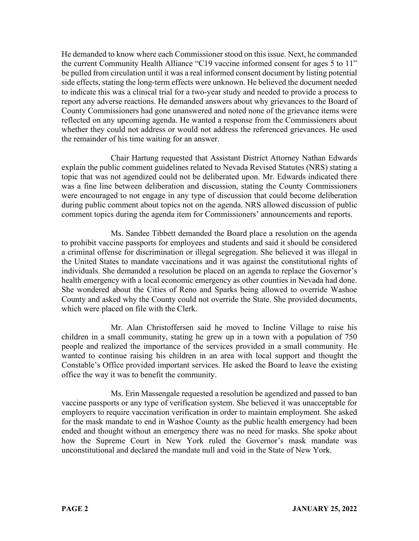He demanded to know where each Commissioner stood on this issue. Next, he commanded the current Community Health Alliance "C19 vaccine informed consent for ages 5 to 11" be pulled from circulation until it was a real informed consent document by listing potential side effects, stating the long-term effects were unknown. He believed the document needed to indicate this was a clinical trial for a two-year study and needed to provide a process to report any adverse reactions. He demanded answers about why grievances to the Board of County Commissioners had gone unanswered and noted none of the grievance items were reflected on any upcoming agenda. He wanted a response from the Commissioners about whether they could not address or would not address the referenced grievances. He used the remainder of his time waiting for an answer.

Chair Hartung requested that Assistant District Attorney Nathan Edwards explain the public comment guidelines related to Nevada Revised Statutes (NRS) stating a topic that was not agendized could not be deliberated upon. Mr. Edwards indicated there was a fine line between deliberation and discussion, stating the County Commissioners were encouraged to not engage in any type of discussion that could become deliberation during public comment about topics not on the agenda. NRS allowed discussion of public comment topics during the agenda item for Commissioners' announcements and reports.

Ms. Sandee Tibbett demanded the Board place a resolution on the agenda to prohibit vaccine passports for employees and students and said it should be considered a criminal offense for discrimination or illegal segregation. She believed it was illegal in the United States to mandate vaccinations and it was against the constitutional rights of individuals. She demanded a resolution be placed on an agenda to replace the Governor's health emergency with a local economic emergency as other counties in Nevada had done. She wondered about the Cities of Reno and Sparks being allowed to override Washoe County and asked why the County could not override the State. She provided documents, which were placed on file with the Clerk.

Mr. Alan Christoffersen said he moved to Incline Village to raise his children in a small community, stating he grew up in a town with a population of 750 people and realized the importance of the services provided in a small community. He wanted to continue raising his children in an area with local support and thought the Constable's Office provided important services. He asked the Board to leave the existing office the way it was to benefit the community.

Ms. Erin Massengale requested a resolution be agendized and passed to ban vaccine passports or any type of verification system. She believed it was unacceptable for employers to require vaccination verification in order to maintain employment. She asked for the mask mandate to end in Washoe County as the public health emergency had been ended and thought without an emergency there was no need for masks. She spoke about how the Supreme Court in New York ruled the Governor's mask mandate was unconstitutional and declared the mandate null and void in the State of New York.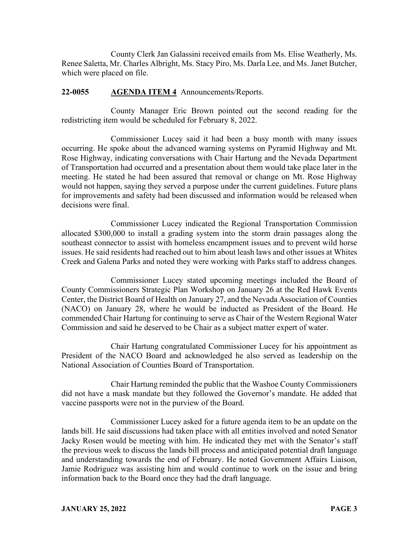County Clerk Jan Galassini received emails from Ms. Elise Weatherly, Ms. Renee Saletta, Mr. Charles Albright, Ms. Stacy Piro, Ms. Darla Lee, and Ms. Janet Butcher, which were placed on file.

# **22-0055 AGENDA ITEM 4** Announcements/Reports.

County Manager Eric Brown pointed out the second reading for the redistricting item would be scheduled for February 8, 2022.

Commissioner Lucey said it had been a busy month with many issues occurring. He spoke about the advanced warning systems on Pyramid Highway and Mt. Rose Highway, indicating conversations with Chair Hartung and the Nevada Department of Transportation had occurred and a presentation about them would take place later in the meeting. He stated he had been assured that removal or change on Mt. Rose Highway would not happen, saying they served a purpose under the current guidelines. Future plans for improvements and safety had been discussed and information would be released when decisions were final.

Commissioner Lucey indicated the Regional Transportation Commission allocated \$300,000 to install a grading system into the storm drain passages along the southeast connector to assist with homeless encampment issues and to prevent wild horse issues. He said residents had reached out to him about leash laws and other issues at Whites Creek and Galena Parks and noted they were working with Parks staff to address changes.

Commissioner Lucey stated upcoming meetings included the Board of County Commissioners Strategic Plan Workshop on January 26 at the Red Hawk Events Center, the District Board of Health on January 27, and the Nevada Association of Counties (NACO) on January 28, where he would be inducted as President of the Board. He commended Chair Hartung for continuing to serve as Chair of the Western Regional Water Commission and said he deserved to be Chair as a subject matter expert of water.

Chair Hartung congratulated Commissioner Lucey for his appointment as President of the NACO Board and acknowledged he also served as leadership on the National Association of Counties Board of Transportation.

Chair Hartung reminded the public that the Washoe County Commissioners did not have a mask mandate but they followed the Governor's mandate. He added that vaccine passports were not in the purview of the Board.

Commissioner Lucey asked for a future agenda item to be an update on the lands bill. He said discussions had taken place with all entities involved and noted Senator Jacky Rosen would be meeting with him. He indicated they met with the Senator's staff the previous week to discuss the lands bill process and anticipated potential draft language and understanding towards the end of February. He noted Government Affairs Liaison, Jamie Rodriguez was assisting him and would continue to work on the issue and bring information back to the Board once they had the draft language.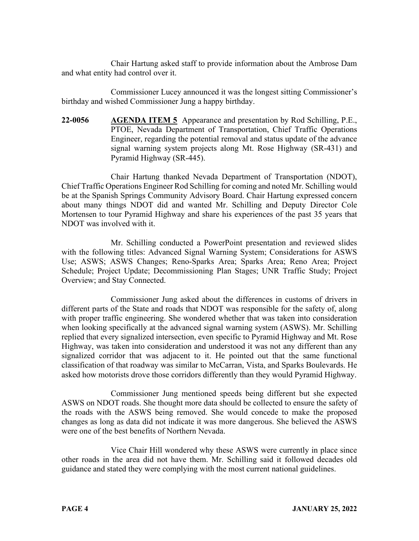Chair Hartung asked staff to provide information about the Ambrose Dam and what entity had control over it.

Commissioner Lucey announced it was the longest sitting Commissioner's birthday and wished Commissioner Jung a happy birthday.

**22-0056 AGENDA ITEM 5** Appearance and presentation by Rod Schilling, P.E., PTOE, Nevada Department of Transportation, Chief Traffic Operations Engineer, regarding the potential removal and status update of the advance signal warning system projects along Mt. Rose Highway (SR-431) and Pyramid Highway (SR-445).

Chair Hartung thanked Nevada Department of Transportation (NDOT), Chief Traffic Operations Engineer Rod Schilling for coming and noted Mr. Schilling would be at the Spanish Springs Community Advisory Board. Chair Hartung expressed concern about many things NDOT did and wanted Mr. Schilling and Deputy Director Cole Mortensen to tour Pyramid Highway and share his experiences of the past 35 years that NDOT was involved with it.

Mr. Schilling conducted a PowerPoint presentation and reviewed slides with the following titles: Advanced Signal Warning System; Considerations for ASWS Use; ASWS; ASWS Changes; Reno-Sparks Area; Sparks Area; Reno Area; Project Schedule; Project Update; Decommissioning Plan Stages; UNR Traffic Study; Project Overview; and Stay Connected.

Commissioner Jung asked about the differences in customs of drivers in different parts of the State and roads that NDOT was responsible for the safety of, along with proper traffic engineering. She wondered whether that was taken into consideration when looking specifically at the advanced signal warning system (ASWS). Mr. Schilling replied that every signalized intersection, even specific to Pyramid Highway and Mt. Rose Highway, was taken into consideration and understood it was not any different than any signalized corridor that was adjacent to it. He pointed out that the same functional classification of that roadway was similar to McCarran, Vista, and Sparks Boulevards. He asked how motorists drove those corridors differently than they would Pyramid Highway.

Commissioner Jung mentioned speeds being different but she expected ASWS on NDOT roads. She thought more data should be collected to ensure the safety of the roads with the ASWS being removed. She would concede to make the proposed changes as long as data did not indicate it was more dangerous. She believed the ASWS were one of the best benefits of Northern Nevada.

Vice Chair Hill wondered why these ASWS were currently in place since other roads in the area did not have them. Mr. Schilling said it followed decades old guidance and stated they were complying with the most current national guidelines.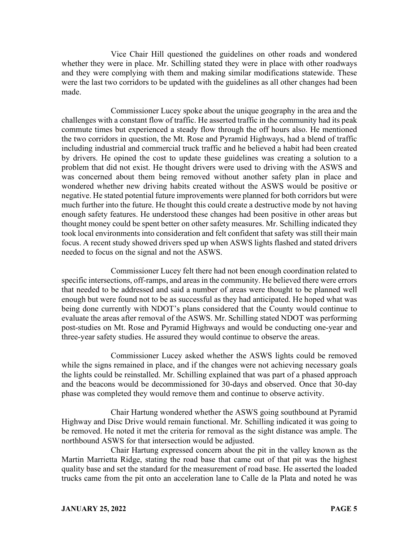Vice Chair Hill questioned the guidelines on other roads and wondered whether they were in place. Mr. Schilling stated they were in place with other roadways and they were complying with them and making similar modifications statewide. These were the last two corridors to be updated with the guidelines as all other changes had been made.

Commissioner Lucey spoke about the unique geography in the area and the challenges with a constant flow of traffic. He asserted traffic in the community had its peak commute times but experienced a steady flow through the off hours also. He mentioned the two corridors in question, the Mt. Rose and Pyramid Highways, had a blend of traffic including industrial and commercial truck traffic and he believed a habit had been created by drivers. He opined the cost to update these guidelines was creating a solution to a problem that did not exist. He thought drivers were used to driving with the ASWS and was concerned about them being removed without another safety plan in place and wondered whether new driving habits created without the ASWS would be positive or negative. He stated potential future improvements were planned for both corridors but were much further into the future. He thought this could create a destructive mode by not having enough safety features. He understood these changes had been positive in other areas but thought money could be spent better on other safety measures. Mr. Schilling indicated they took local environments into consideration and felt confident that safety was still their main focus. A recent study showed drivers sped up when ASWS lights flashed and stated drivers needed to focus on the signal and not the ASWS.

Commissioner Lucey felt there had not been enough coordination related to specific intersections, off-ramps, and areas in the community. He believed there were errors that needed to be addressed and said a number of areas were thought to be planned well enough but were found not to be as successful as they had anticipated. He hoped what was being done currently with NDOT's plans considered that the County would continue to evaluate the areas after removal of the ASWS. Mr. Schilling stated NDOT was performing post-studies on Mt. Rose and Pyramid Highways and would be conducting one-year and three-year safety studies. He assured they would continue to observe the areas.

Commissioner Lucey asked whether the ASWS lights could be removed while the signs remained in place, and if the changes were not achieving necessary goals the lights could be reinstalled. Mr. Schilling explained that was part of a phased approach and the beacons would be decommissioned for 30-days and observed. Once that 30-day phase was completed they would remove them and continue to observe activity.

Chair Hartung wondered whether the ASWS going southbound at Pyramid Highway and Disc Drive would remain functional. Mr. Schilling indicated it was going to be removed. He noted it met the criteria for removal as the sight distance was ample. The northbound ASWS for that intersection would be adjusted.

Chair Hartung expressed concern about the pit in the valley known as the Martin Marrietta Ridge, stating the road base that came out of that pit was the highest quality base and set the standard for the measurement of road base. He asserted the loaded trucks came from the pit onto an acceleration lane to Calle de la Plata and noted he was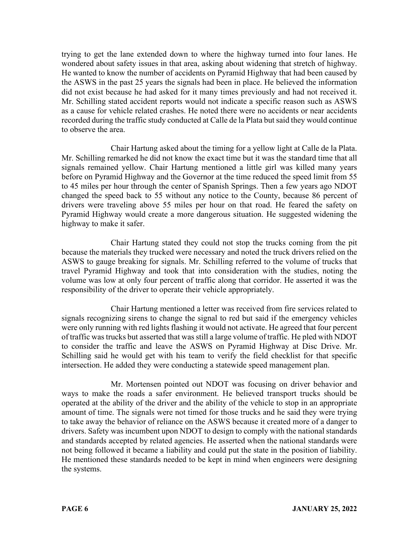trying to get the lane extended down to where the highway turned into four lanes. He wondered about safety issues in that area, asking about widening that stretch of highway. He wanted to know the number of accidents on Pyramid Highway that had been caused by the ASWS in the past 25 years the signals had been in place. He believed the information did not exist because he had asked for it many times previously and had not received it. Mr. Schilling stated accident reports would not indicate a specific reason such as ASWS as a cause for vehicle related crashes. He noted there were no accidents or near accidents recorded during the traffic study conducted at Calle de la Plata but said they would continue to observe the area.

Chair Hartung asked about the timing for a yellow light at Calle de la Plata. Mr. Schilling remarked he did not know the exact time but it was the standard time that all signals remained yellow. Chair Hartung mentioned a little girl was killed many years before on Pyramid Highway and the Governor at the time reduced the speed limit from 55 to 45 miles per hour through the center of Spanish Springs. Then a few years ago NDOT changed the speed back to 55 without any notice to the County, because 86 percent of drivers were traveling above 55 miles per hour on that road. He feared the safety on Pyramid Highway would create a more dangerous situation. He suggested widening the highway to make it safer.

Chair Hartung stated they could not stop the trucks coming from the pit because the materials they trucked were necessary and noted the truck drivers relied on the ASWS to gauge breaking for signals. Mr. Schilling referred to the volume of trucks that travel Pyramid Highway and took that into consideration with the studies, noting the volume was low at only four percent of traffic along that corridor. He asserted it was the responsibility of the driver to operate their vehicle appropriately.

Chair Hartung mentioned a letter was received from fire services related to signals recognizing sirens to change the signal to red but said if the emergency vehicles were only running with red lights flashing it would not activate. He agreed that four percent of traffic was trucks but asserted that was still a large volume of traffic. He pled with NDOT to consider the traffic and leave the ASWS on Pyramid Highway at Disc Drive. Mr. Schilling said he would get with his team to verify the field checklist for that specific intersection. He added they were conducting a statewide speed management plan.

Mr. Mortensen pointed out NDOT was focusing on driver behavior and ways to make the roads a safer environment. He believed transport trucks should be operated at the ability of the driver and the ability of the vehicle to stop in an appropriate amount of time. The signals were not timed for those trucks and he said they were trying to take away the behavior of reliance on the ASWS because it created more of a danger to drivers. Safety was incumbent upon NDOT to design to comply with the national standards and standards accepted by related agencies. He asserted when the national standards were not being followed it became a liability and could put the state in the position of liability. He mentioned these standards needed to be kept in mind when engineers were designing the systems.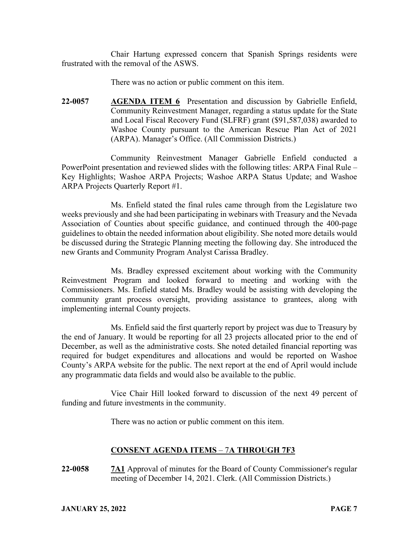Chair Hartung expressed concern that Spanish Springs residents were frustrated with the removal of the ASWS.

There was no action or public comment on this item.

**22-0057 AGENDA ITEM 6** Presentation and discussion by Gabrielle Enfield, Community Reinvestment Manager, regarding a status update for the State and Local Fiscal Recovery Fund (SLFRF) grant (\$91,587,038) awarded to Washoe County pursuant to the American Rescue Plan Act of 2021 (ARPA). Manager's Office. (All Commission Districts.)

Community Reinvestment Manager Gabrielle Enfield conducted a PowerPoint presentation and reviewed slides with the following titles: ARPA Final Rule – Key Highlights; Washoe ARPA Projects; Washoe ARPA Status Update; and Washoe ARPA Projects Quarterly Report #1.

Ms. Enfield stated the final rules came through from the Legislature two weeks previously and she had been participating in webinars with Treasury and the Nevada Association of Counties about specific guidance, and continued through the 400-page guidelines to obtain the needed information about eligibility. She noted more details would be discussed during the Strategic Planning meeting the following day. She introduced the new Grants and Community Program Analyst Carissa Bradley.

Ms. Bradley expressed excitement about working with the Community Reinvestment Program and looked forward to meeting and working with the Commissioners. Ms. Enfield stated Ms. Bradley would be assisting with developing the community grant process oversight, providing assistance to grantees, along with implementing internal County projects.

Ms. Enfield said the first quarterly report by project was due to Treasury by the end of January. It would be reporting for all 23 projects allocated prior to the end of December, as well as the administrative costs. She noted detailed financial reporting was required for budget expenditures and allocations and would be reported on Washoe County's ARPA website for the public. The next report at the end of April would include any programmatic data fields and would also be available to the public.

Vice Chair Hill looked forward to discussion of the next 49 percent of funding and future investments in the community.

There was no action or public comment on this item.

# **CONSENT AGENDA ITEMS** – 7**A THROUGH 7F3**

**22-0058 7A1** Approval of minutes for the Board of County Commissioner's regular meeting of December 14, 2021. Clerk. (All Commission Districts.)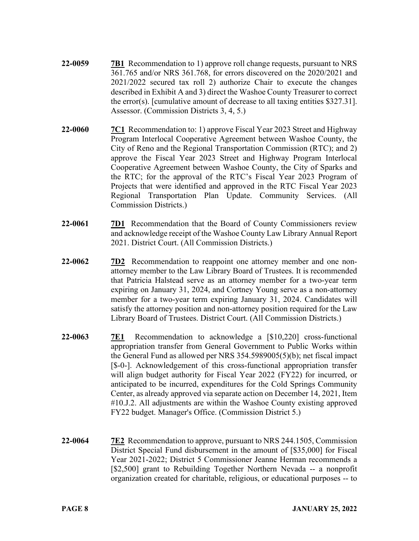- **22-0059 7B1** Recommendation to 1) approve roll change requests, pursuant to NRS 361.765 and/or NRS 361.768, for errors discovered on the 2020/2021 and 2021/2022 secured tax roll 2) authorize Chair to execute the changes described in Exhibit A and 3) direct the Washoe County Treasurer to correct the error(s). [cumulative amount of decrease to all taxing entities \$327.31]. Assessor. (Commission Districts 3, 4, 5.)
- **22-0060 7C1** Recommendation to: 1) approve Fiscal Year 2023 Street and Highway Program Interlocal Cooperative Agreement between Washoe County, the City of Reno and the Regional Transportation Commission (RTC); and 2) approve the Fiscal Year 2023 Street and Highway Program Interlocal Cooperative Agreement between Washoe County, the City of Sparks and the RTC; for the approval of the RTC's Fiscal Year 2023 Program of Projects that were identified and approved in the RTC Fiscal Year 2023 Regional Transportation Plan Update. Community Services. (All Commission Districts.)
- **22-0061 7D1** Recommendation that the Board of County Commissioners review and acknowledge receipt of the Washoe County Law Library Annual Report 2021. District Court. (All Commission Districts.)
- **22-0062 7D2** Recommendation to reappoint one attorney member and one nonattorney member to the Law Library Board of Trustees. It is recommended that Patricia Halstead serve as an attorney member for a two-year term expiring on January 31, 2024, and Cortney Young serve as a non-attorney member for a two-year term expiring January 31, 2024. Candidates will satisfy the attorney position and non-attorney position required for the Law Library Board of Trustees. District Court. (All Commission Districts.)
- **22-0063 7E1** Recommendation to acknowledge a [\$10,220] cross-functional appropriation transfer from General Government to Public Works within the General Fund as allowed per NRS 354.5989005(5)(b); net fiscal impact [\$-0-]. Acknowledgement of this cross-functional appropriation transfer will align budget authority for Fiscal Year 2022 (FY22) for incurred, or anticipated to be incurred, expenditures for the Cold Springs Community Center, as already approved via separate action on December 14, 2021, Item #10.J.2. All adjustments are within the Washoe County existing approved FY22 budget. Manager's Office. (Commission District 5.)
- **22-0064 7E2** Recommendation to approve, pursuant to NRS 244.1505, Commission District Special Fund disbursement in the amount of [\$35,000] for Fiscal Year 2021-2022; District 5 Commissioner Jeanne Herman recommends a [\$2,500] grant to Rebuilding Together Northern Nevada -- a nonprofit organization created for charitable, religious, or educational purposes -- to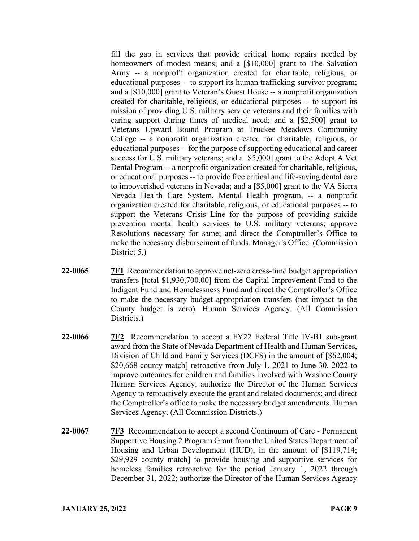fill the gap in services that provide critical home repairs needed by homeowners of modest means; and a [\$10,000] grant to The Salvation Army -- a nonprofit organization created for charitable, religious, or educational purposes -- to support its human trafficking survivor program; and a [\$10,000] grant to Veteran's Guest House -- a nonprofit organization created for charitable, religious, or educational purposes -- to support its mission of providing U.S. military service veterans and their families with caring support during times of medical need; and a [\$2,500] grant to Veterans Upward Bound Program at Truckee Meadows Community College -- a nonprofit organization created for charitable, religious, or educational purposes -- for the purpose of supporting educational and career success for U.S. military veterans; and a [\$5,000] grant to the Adopt A Vet Dental Program -- a nonprofit organization created for charitable, religious, or educational purposes -- to provide free critical and life-saving dental care to impoverished veterans in Nevada; and a [\$5,000] grant to the VA Sierra Nevada Health Care System, Mental Health program, -- a nonprofit organization created for charitable, religious, or educational purposes -- to support the Veterans Crisis Line for the purpose of providing suicide prevention mental health services to U.S. military veterans; approve Resolutions necessary for same; and direct the Comptroller's Office to make the necessary disbursement of funds. Manager's Office. (Commission District 5.)

- **22-0065 7F1** Recommendation to approve net-zero cross-fund budget appropriation transfers [total \$1,930,700.00] from the Capital Improvement Fund to the Indigent Fund and Homelessness Fund and direct the Comptroller's Office to make the necessary budget appropriation transfers (net impact to the County budget is zero). Human Services Agency. (All Commission Districts.)
- **22-0066 7F2** Recommendation to accept a FY22 Federal Title IV-B1 sub-grant award from the State of Nevada Department of Health and Human Services, Division of Child and Family Services (DCFS) in the amount of [\$62,004; \$20,668 county match] retroactive from July 1, 2021 to June 30, 2022 to improve outcomes for children and families involved with Washoe County Human Services Agency; authorize the Director of the Human Services Agency to retroactively execute the grant and related documents; and direct the Comptroller's office to make the necessary budget amendments. Human Services Agency. (All Commission Districts.)
- **22-0067 7F3** Recommendation to accept a second Continuum of Care Permanent Supportive Housing 2 Program Grant from the United States Department of Housing and Urban Development (HUD), in the amount of [\$119,714; \$29,929 county match] to provide housing and supportive services for homeless families retroactive for the period January 1, 2022 through December 31, 2022; authorize the Director of the Human Services Agency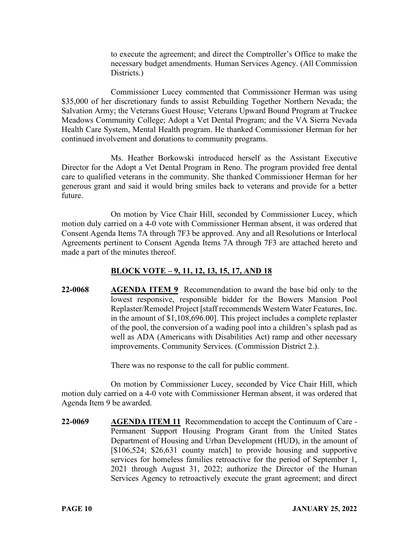to execute the agreement; and direct the Comptroller's Office to make the necessary budget amendments. Human Services Agency. (All Commission Districts.)

Commissioner Lucey commented that Commissioner Herman was using \$35,000 of her discretionary funds to assist Rebuilding Together Northern Nevada; the Salvation Army; the Veterans Guest House; Veterans Upward Bound Program at Truckee Meadows Community College; Adopt a Vet Dental Program; and the VA Sierra Nevada Health Care System, Mental Health program. He thanked Commissioner Herman for her continued involvement and donations to community programs.

Ms. Heather Borkowski introduced herself as the Assistant Executive Director for the Adopt a Vet Dental Program in Reno. The program provided free dental care to qualified veterans in the community. She thanked Commissioner Herman for her generous grant and said it would bring smiles back to veterans and provide for a better future.

On motion by Vice Chair Hill, seconded by Commissioner Lucey, which motion duly carried on a 4-0 vote with Commissioner Herman absent, it was ordered that Consent Agenda Items 7A through 7F3 be approved. Any and all Resolutions or Interlocal Agreements pertinent to Consent Agenda Items 7A through 7F3 are attached hereto and made a part of the minutes thereof.

# **BLOCK VOTE – 9, 11, 12, 13, 15, 17, AND 18**

**22-0068 AGENDA ITEM 9** Recommendation to award the base bid only to the lowest responsive, responsible bidder for the Bowers Mansion Pool Replaster/Remodel Project [staff recommends Western Water Features, Inc. in the amount of \$1,108,696.00]. This project includes a complete replaster of the pool, the conversion of a wading pool into a children's splash pad as well as ADA (Americans with Disabilities Act) ramp and other necessary improvements. Community Services. (Commission District 2.).

There was no response to the call for public comment.

On motion by Commissioner Lucey, seconded by Vice Chair Hill, which motion duly carried on a 4-0 vote with Commissioner Herman absent, it was ordered that Agenda Item 9 be awarded.

**22-0069 AGENDA ITEM 11** Recommendation to accept the Continuum of Care - Permanent Support Housing Program Grant from the United States Department of Housing and Urban Development (HUD), in the amount of [\$106,524; \$26,631 county match] to provide housing and supportive services for homeless families retroactive for the period of September 1, 2021 through August 31, 2022; authorize the Director of the Human Services Agency to retroactively execute the grant agreement; and direct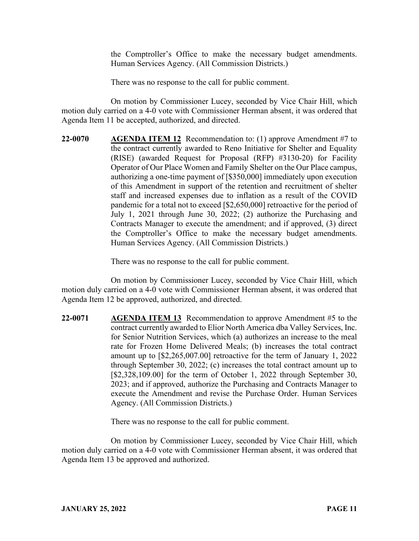the Comptroller's Office to make the necessary budget amendments. Human Services Agency. (All Commission Districts.)

There was no response to the call for public comment.

On motion by Commissioner Lucey, seconded by Vice Chair Hill, which motion duly carried on a 4-0 vote with Commissioner Herman absent, it was ordered that Agenda Item 11 be accepted, authorized, and directed.

**22-0070 AGENDA ITEM 12** Recommendation to: (1) approve Amendment #7 to the contract currently awarded to Reno Initiative for Shelter and Equality (RISE) (awarded Request for Proposal (RFP) #3130-20) for Facility Operator of Our Place Women and Family Shelter on the Our Place campus, authorizing a one-time payment of [\$350,000] immediately upon execution of this Amendment in support of the retention and recruitment of shelter staff and increased expenses due to inflation as a result of the COVID pandemic for a total not to exceed [\$2,650,000] retroactive for the period of July 1, 2021 through June 30, 2022; (2) authorize the Purchasing and Contracts Manager to execute the amendment; and if approved, (3) direct the Comptroller's Office to make the necessary budget amendments. Human Services Agency. (All Commission Districts.)

There was no response to the call for public comment.

On motion by Commissioner Lucey, seconded by Vice Chair Hill, which motion duly carried on a 4-0 vote with Commissioner Herman absent, it was ordered that Agenda Item 12 be approved, authorized, and directed.

**22-0071 AGENDA ITEM 13** Recommendation to approve Amendment #5 to the contract currently awarded to Elior North America dba Valley Services, Inc. for Senior Nutrition Services, which (a) authorizes an increase to the meal rate for Frozen Home Delivered Meals; (b) increases the total contract amount up to [\$2,265,007.00] retroactive for the term of January 1, 2022 through September 30, 2022; (c) increases the total contract amount up to [\$2,328,109.00] for the term of October 1, 2022 through September 30, 2023; and if approved, authorize the Purchasing and Contracts Manager to execute the Amendment and revise the Purchase Order. Human Services Agency. (All Commission Districts.)

There was no response to the call for public comment.

On motion by Commissioner Lucey, seconded by Vice Chair Hill, which motion duly carried on a 4-0 vote with Commissioner Herman absent, it was ordered that Agenda Item 13 be approved and authorized.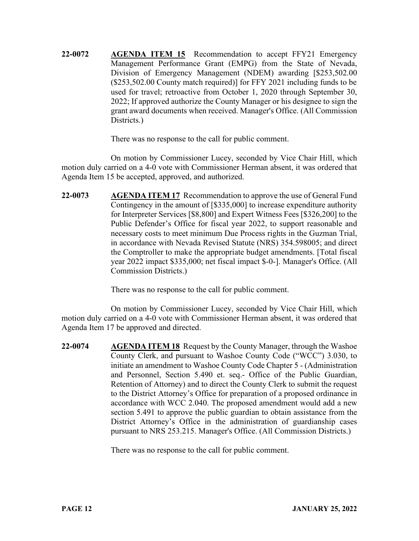**22-0072 AGENDA ITEM 15** Recommendation to accept FFY21 Emergency Management Performance Grant (EMPG) from the State of Nevada, Division of Emergency Management (NDEM) awarding [\$253,502.00 (\$253,502.00 County match required)] for FFY 2021 including funds to be used for travel; retroactive from October 1, 2020 through September 30, 2022; If approved authorize the County Manager or his designee to sign the grant award documents when received. Manager's Office. (All Commission Districts.)

There was no response to the call for public comment.

On motion by Commissioner Lucey, seconded by Vice Chair Hill, which motion duly carried on a 4-0 vote with Commissioner Herman absent, it was ordered that Agenda Item 15 be accepted, approved, and authorized.

**22-0073 AGENDA ITEM 17** Recommendation to approve the use of General Fund Contingency in the amount of [\$335,000] to increase expenditure authority for Interpreter Services [\$8,800] and Expert Witness Fees [\$326,200] to the Public Defender's Office for fiscal year 2022, to support reasonable and necessary costs to meet minimum Due Process rights in the Guzman Trial, in accordance with Nevada Revised Statute (NRS) 354.598005; and direct the Comptroller to make the appropriate budget amendments. [Total fiscal year 2022 impact \$335,000; net fiscal impact \$-0-]. Manager's Office. (All Commission Districts.)

There was no response to the call for public comment.

On motion by Commissioner Lucey, seconded by Vice Chair Hill, which motion duly carried on a 4-0 vote with Commissioner Herman absent, it was ordered that Agenda Item 17 be approved and directed.

**22-0074 AGENDA ITEM 18** Request by the County Manager, through the Washoe County Clerk, and pursuant to Washoe County Code ("WCC") 3.030, to initiate an amendment to Washoe County Code Chapter 5 - (Administration and Personnel, Section 5.490 et. seq.- Office of the Public Guardian, Retention of Attorney) and to direct the County Clerk to submit the request to the District Attorney's Office for preparation of a proposed ordinance in accordance with WCC 2.040. The proposed amendment would add a new section 5.491 to approve the public guardian to obtain assistance from the District Attorney's Office in the administration of guardianship cases pursuant to NRS 253.215. Manager's Office. (All Commission Districts.)

There was no response to the call for public comment.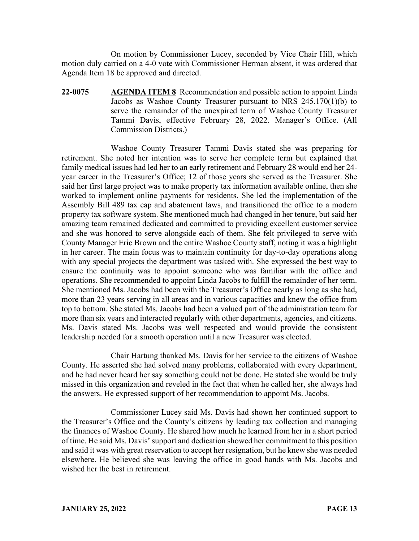On motion by Commissioner Lucey, seconded by Vice Chair Hill, which motion duly carried on a 4-0 vote with Commissioner Herman absent, it was ordered that Agenda Item 18 be approved and directed.

**22-0075 AGENDA ITEM 8** Recommendation and possible action to appoint Linda Jacobs as Washoe County Treasurer pursuant to NRS 245.170(1)(b) to serve the remainder of the unexpired term of Washoe County Treasurer Tammi Davis, effective February 28, 2022. Manager's Office. (All Commission Districts.)

Washoe County Treasurer Tammi Davis stated she was preparing for retirement. She noted her intention was to serve her complete term but explained that family medical issues had led her to an early retirement and February 28 would end her 24 year career in the Treasurer's Office; 12 of those years she served as the Treasurer. She said her first large project was to make property tax information available online, then she worked to implement online payments for residents. She led the implementation of the Assembly Bill 489 tax cap and abatement laws, and transitioned the office to a modern property tax software system. She mentioned much had changed in her tenure, but said her amazing team remained dedicated and committed to providing excellent customer service and she was honored to serve alongside each of them. She felt privileged to serve with County Manager Eric Brown and the entire Washoe County staff, noting it was a highlight in her career. The main focus was to maintain continuity for day-to-day operations along with any special projects the department was tasked with. She expressed the best way to ensure the continuity was to appoint someone who was familiar with the office and operations. She recommended to appoint Linda Jacobs to fulfill the remainder of her term. She mentioned Ms. Jacobs had been with the Treasurer's Office nearly as long as she had, more than 23 years serving in all areas and in various capacities and knew the office from top to bottom. She stated Ms. Jacobs had been a valued part of the administration team for more than six years and interacted regularly with other departments, agencies, and citizens. Ms. Davis stated Ms. Jacobs was well respected and would provide the consistent leadership needed for a smooth operation until a new Treasurer was elected.

Chair Hartung thanked Ms. Davis for her service to the citizens of Washoe County. He asserted she had solved many problems, collaborated with every department, and he had never heard her say something could not be done. He stated she would be truly missed in this organization and reveled in the fact that when he called her, she always had the answers. He expressed support of her recommendation to appoint Ms. Jacobs.

Commissioner Lucey said Ms. Davis had shown her continued support to the Treasurer's Office and the County's citizens by leading tax collection and managing the finances of Washoe County. He shared how much he learned from her in a short period of time. He said Ms. Davis' support and dedication showed her commitment to this position and said it was with great reservation to accept her resignation, but he knew she was needed elsewhere. He believed she was leaving the office in good hands with Ms. Jacobs and wished her the best in retirement.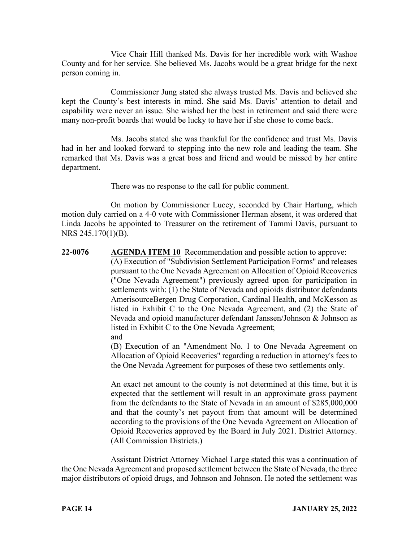Vice Chair Hill thanked Ms. Davis for her incredible work with Washoe County and for her service. She believed Ms. Jacobs would be a great bridge for the next person coming in.

Commissioner Jung stated she always trusted Ms. Davis and believed she kept the County's best interests in mind. She said Ms. Davis' attention to detail and capability were never an issue. She wished her the best in retirement and said there were many non-profit boards that would be lucky to have her if she chose to come back.

Ms. Jacobs stated she was thankful for the confidence and trust Ms. Davis had in her and looked forward to stepping into the new role and leading the team. She remarked that Ms. Davis was a great boss and friend and would be missed by her entire department.

There was no response to the call for public comment.

On motion by Commissioner Lucey, seconded by Chair Hartung, which motion duly carried on a 4-0 vote with Commissioner Herman absent, it was ordered that Linda Jacobs be appointed to Treasurer on the retirement of Tammi Davis, pursuant to NRS 245.170(1)(B).

**22-0076 AGENDA ITEM 10** Recommendation and possible action to approve: (A) Execution of "Subdivision Settlement Participation Forms" and releases pursuant to the One Nevada Agreement on Allocation of Opioid Recoveries ("One Nevada Agreement") previously agreed upon for participation in settlements with: (1) the State of Nevada and opioids distributor defendants AmerisourceBergen Drug Corporation, Cardinal Health, and McKesson as listed in Exhibit C to the One Nevada Agreement, and (2) the State of Nevada and opioid manufacturer defendant Janssen/Johnson & Johnson as listed in Exhibit C to the One Nevada Agreement; and

(B) Execution of an "Amendment No. 1 to One Nevada Agreement on Allocation of Opioid Recoveries" regarding a reduction in attorney's fees to the One Nevada Agreement for purposes of these two settlements only.

An exact net amount to the county is not determined at this time, but it is expected that the settlement will result in an approximate gross payment from the defendants to the State of Nevada in an amount of \$285,000,000 and that the county's net payout from that amount will be determined according to the provisions of the One Nevada Agreement on Allocation of Opioid Recoveries approved by the Board in July 2021. District Attorney. (All Commission Districts.)

Assistant District Attorney Michael Large stated this was a continuation of the One Nevada Agreement and proposed settlement between the State of Nevada, the three major distributors of opioid drugs, and Johnson and Johnson. He noted the settlement was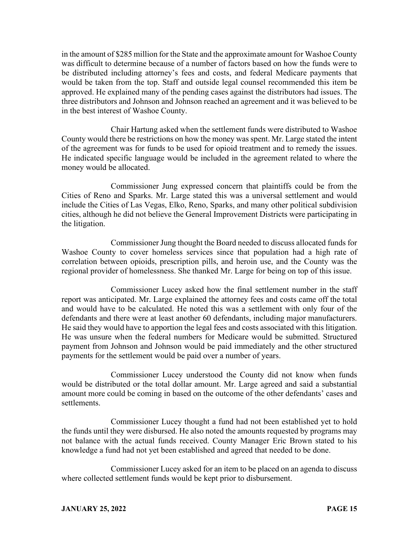in the amount of \$285 million for the State and the approximate amount for Washoe County was difficult to determine because of a number of factors based on how the funds were to be distributed including attorney's fees and costs, and federal Medicare payments that would be taken from the top. Staff and outside legal counsel recommended this item be approved. He explained many of the pending cases against the distributors had issues. The three distributors and Johnson and Johnson reached an agreement and it was believed to be in the best interest of Washoe County.

Chair Hartung asked when the settlement funds were distributed to Washoe County would there be restrictions on how the money was spent. Mr. Large stated the intent of the agreement was for funds to be used for opioid treatment and to remedy the issues. He indicated specific language would be included in the agreement related to where the money would be allocated.

Commissioner Jung expressed concern that plaintiffs could be from the Cities of Reno and Sparks. Mr. Large stated this was a universal settlement and would include the Cities of Las Vegas, Elko, Reno, Sparks, and many other political subdivision cities, although he did not believe the General Improvement Districts were participating in the litigation.

Commissioner Jung thought the Board needed to discuss allocated funds for Washoe County to cover homeless services since that population had a high rate of correlation between opioids, prescription pills, and heroin use, and the County was the regional provider of homelessness. She thanked Mr. Large for being on top of this issue.

Commissioner Lucey asked how the final settlement number in the staff report was anticipated. Mr. Large explained the attorney fees and costs came off the total and would have to be calculated. He noted this was a settlement with only four of the defendants and there were at least another 60 defendants, including major manufacturers. He said they would have to apportion the legal fees and costs associated with this litigation. He was unsure when the federal numbers for Medicare would be submitted. Structured payment from Johnson and Johnson would be paid immediately and the other structured payments for the settlement would be paid over a number of years.

Commissioner Lucey understood the County did not know when funds would be distributed or the total dollar amount. Mr. Large agreed and said a substantial amount more could be coming in based on the outcome of the other defendants' cases and settlements.

Commissioner Lucey thought a fund had not been established yet to hold the funds until they were disbursed. He also noted the amounts requested by programs may not balance with the actual funds received. County Manager Eric Brown stated to his knowledge a fund had not yet been established and agreed that needed to be done.

Commissioner Lucey asked for an item to be placed on an agenda to discuss where collected settlement funds would be kept prior to disbursement.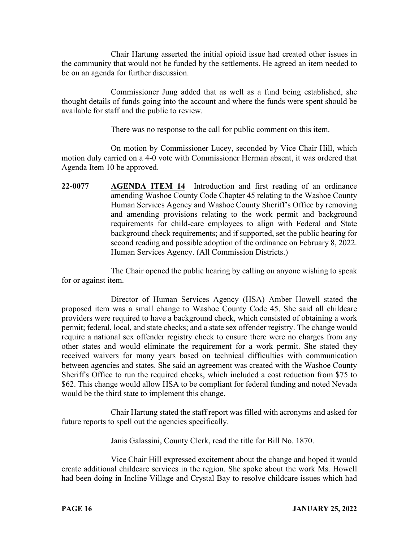Chair Hartung asserted the initial opioid issue had created other issues in the community that would not be funded by the settlements. He agreed an item needed to be on an agenda for further discussion.

Commissioner Jung added that as well as a fund being established, she thought details of funds going into the account and where the funds were spent should be available for staff and the public to review.

There was no response to the call for public comment on this item.

On motion by Commissioner Lucey, seconded by Vice Chair Hill, which motion duly carried on a 4-0 vote with Commissioner Herman absent, it was ordered that Agenda Item 10 be approved.

**22-0077 AGENDA ITEM 14** Introduction and first reading of an ordinance amending Washoe County Code Chapter 45 relating to the Washoe County Human Services Agency and Washoe County Sheriff's Office by removing and amending provisions relating to the work permit and background requirements for child-care employees to align with Federal and State background check requirements; and if supported, set the public hearing for second reading and possible adoption of the ordinance on February 8, 2022. Human Services Agency. (All Commission Districts.)

The Chair opened the public hearing by calling on anyone wishing to speak for or against item.

Director of Human Services Agency (HSA) Amber Howell stated the proposed item was a small change to Washoe County Code 45. She said all childcare providers were required to have a background check, which consisted of obtaining a work permit; federal, local, and state checks; and a state sex offender registry. The change would require a national sex offender registry check to ensure there were no charges from any other states and would eliminate the requirement for a work permit. She stated they received waivers for many years based on technical difficulties with communication between agencies and states. She said an agreement was created with the Washoe County Sheriff's Office to run the required checks, which included a cost reduction from \$75 to \$62. This change would allow HSA to be compliant for federal funding and noted Nevada would be the third state to implement this change.

Chair Hartung stated the staff report was filled with acronyms and asked for future reports to spell out the agencies specifically.

Janis Galassini, County Clerk, read the title for Bill No. 1870.

Vice Chair Hill expressed excitement about the change and hoped it would create additional childcare services in the region. She spoke about the work Ms. Howell had been doing in Incline Village and Crystal Bay to resolve childcare issues which had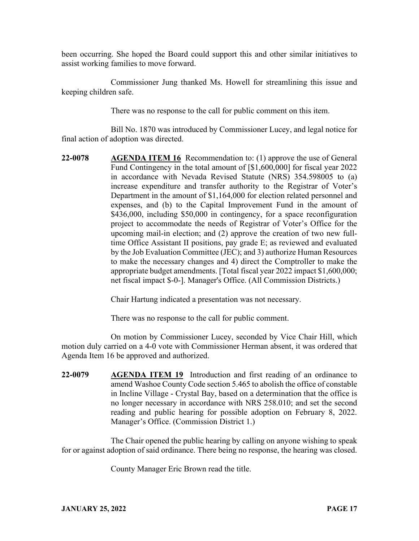been occurring. She hoped the Board could support this and other similar initiatives to assist working families to move forward.

Commissioner Jung thanked Ms. Howell for streamlining this issue and keeping children safe.

There was no response to the call for public comment on this item.

Bill No. 1870 was introduced by Commissioner Lucey, and legal notice for final action of adoption was directed.

**22-0078 AGENDA ITEM 16** Recommendation to: (1) approve the use of General Fund Contingency in the total amount of [\$1,600,000] for fiscal year 2022 in accordance with Nevada Revised Statute (NRS) 354.598005 to (a) increase expenditure and transfer authority to the Registrar of Voter's Department in the amount of \$1,164,000 for election related personnel and expenses, and (b) to the Capital Improvement Fund in the amount of \$436,000, including \$50,000 in contingency, for a space reconfiguration project to accommodate the needs of Registrar of Voter's Office for the upcoming mail-in election; and (2) approve the creation of two new fulltime Office Assistant II positions, pay grade E; as reviewed and evaluated by the Job Evaluation Committee (JEC); and 3) authorize Human Resources to make the necessary changes and 4) direct the Comptroller to make the appropriate budget amendments. [Total fiscal year 2022 impact \$1,600,000; net fiscal impact \$-0-]. Manager's Office. (All Commission Districts.)

Chair Hartung indicated a presentation was not necessary.

There was no response to the call for public comment.

On motion by Commissioner Lucey, seconded by Vice Chair Hill, which motion duly carried on a 4-0 vote with Commissioner Herman absent, it was ordered that Agenda Item 16 be approved and authorized.

**22-0079 AGENDA ITEM 19** Introduction and first reading of an ordinance to amend Washoe County Code section 5.465 to abolish the office of constable in Incline Village - Crystal Bay, based on a determination that the office is no longer necessary in accordance with NRS 258.010; and set the second reading and public hearing for possible adoption on February 8, 2022. Manager's Office. (Commission District 1.)

The Chair opened the public hearing by calling on anyone wishing to speak for or against adoption of said ordinance. There being no response, the hearing was closed.

County Manager Eric Brown read the title.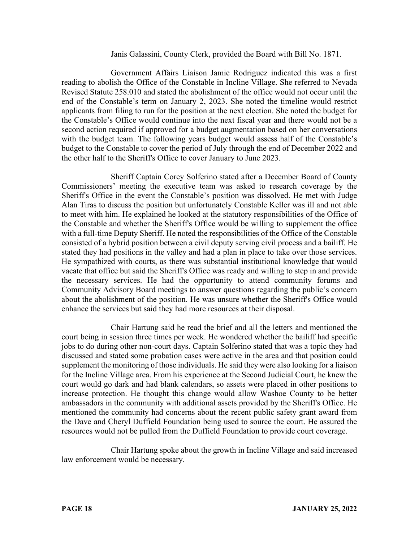#### Janis Galassini, County Clerk, provided the Board with Bill No. 1871.

Government Affairs Liaison Jamie Rodriguez indicated this was a first reading to abolish the Office of the Constable in Incline Village. She referred to Nevada Revised Statute 258.010 and stated the abolishment of the office would not occur until the end of the Constable's term on January 2, 2023. She noted the timeline would restrict applicants from filing to run for the position at the next election. She noted the budget for the Constable's Office would continue into the next fiscal year and there would not be a second action required if approved for a budget augmentation based on her conversations with the budget team. The following years budget would assess half of the Constable's budget to the Constable to cover the period of July through the end of December 2022 and the other half to the Sheriff's Office to cover January to June 2023.

Sheriff Captain Corey Solferino stated after a December Board of County Commissioners' meeting the executive team was asked to research coverage by the Sheriff's Office in the event the Constable's position was dissolved. He met with Judge Alan Tiras to discuss the position but unfortunately Constable Keller was ill and not able to meet with him. He explained he looked at the statutory responsibilities of the Office of the Constable and whether the Sheriff's Office would be willing to supplement the office with a full-time Deputy Sheriff. He noted the responsibilities of the Office of the Constable consisted of a hybrid position between a civil deputy serving civil process and a bailiff. He stated they had positions in the valley and had a plan in place to take over those services. He sympathized with courts, as there was substantial institutional knowledge that would vacate that office but said the Sheriff's Office was ready and willing to step in and provide the necessary services. He had the opportunity to attend community forums and Community Advisory Board meetings to answer questions regarding the public's concern about the abolishment of the position. He was unsure whether the Sheriff's Office would enhance the services but said they had more resources at their disposal.

Chair Hartung said he read the brief and all the letters and mentioned the court being in session three times per week. He wondered whether the bailiff had specific jobs to do during other non-court days. Captain Solferino stated that was a topic they had discussed and stated some probation cases were active in the area and that position could supplement the monitoring of those individuals. He said they were also looking for a liaison for the Incline Village area. From his experience at the Second Judicial Court, he knew the court would go dark and had blank calendars, so assets were placed in other positions to increase protection. He thought this change would allow Washoe County to be better ambassadors in the community with additional assets provided by the Sheriff's Office. He mentioned the community had concerns about the recent public safety grant award from the Dave and Cheryl Duffield Foundation being used to source the court. He assured the resources would not be pulled from the Duffield Foundation to provide court coverage.

Chair Hartung spoke about the growth in Incline Village and said increased law enforcement would be necessary.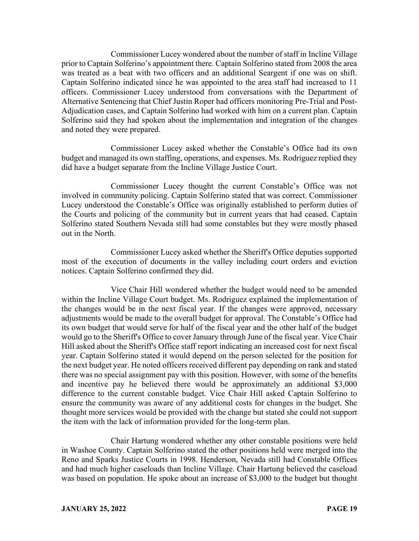Commissioner Lucey wondered about the number of staff in Incline Village prior to Captain Solferino's appointment there. Captain Solferino stated from 2008 the area was treated as a beat with two officers and an additional Seargent if one was on shift. Captain Solferino indicated since he was appointed to the area staff had increased to 11 officers. Commissioner Lucey understood from conversations with the Department of Alternative Sentencing that Chief Justin Roper had officers monitoring Pre-Trial and Post-Adjudication cases, and Captain Solferino had worked with him on a current plan. Captain Solferino said they had spoken about the implementation and integration of the changes and noted they were prepared.

Commissioner Lucey asked whether the Constable's Office had its own budget and managed its own staffing, operations, and expenses. Ms. Rodriguez replied they did have a budget separate from the Incline Village Justice Court.

Commissioner Lucey thought the current Constable's Office was not involved in community policing. Captain Solferino stated that was correct. Commissioner Lucey understood the Constable's Office was originally established to perform duties of the Courts and policing of the community but in current years that had ceased. Captain Solferino stated Southern Nevada still had some constables but they were mostly phased out in the North.

Commissioner Lucey asked whether the Sheriff's Office deputies supported most of the execution of documents in the valley including court orders and eviction notices. Captain Solferino confirmed they did.

Vice Chair Hill wondered whether the budget would need to be amended within the Incline Village Court budget. Ms. Rodriguez explained the implementation of the changes would be in the next fiscal year. If the changes were approved, necessary adjustments would be made to the overall budget for approval. The Constable's Office had its own budget that would serve for half of the fiscal year and the other half of the budget would go to the Sheriff's Office to cover January through June of the fiscal year. Vice Chair Hill asked about the Sheriff's Office staff report indicating an increased cost for next fiscal year. Captain Solferino stated it would depend on the person selected for the position for the next budget year. He noted officers received different pay depending on rank and stated there was no special assignment pay with this position. However, with some of the benefits and incentive pay he believed there would be approximately an additional \$3,000 difference to the current constable budget. Vice Chair Hill asked Captain Solferino to ensure the community was aware of any additional costs for changes in the budget. She thought more services would be provided with the change but stated she could not support the item with the lack of information provided for the long-term plan.

Chair Hartung wondered whether any other constable positions were held in Washoe County. Captain Solferino stated the other positions held were merged into the Reno and Sparks Justice Courts in 1998. Henderson, Nevada still had Constable Offices and had much higher caseloads than Incline Village. Chair Hartung believed the caseload was based on population. He spoke about an increase of \$3,000 to the budget but thought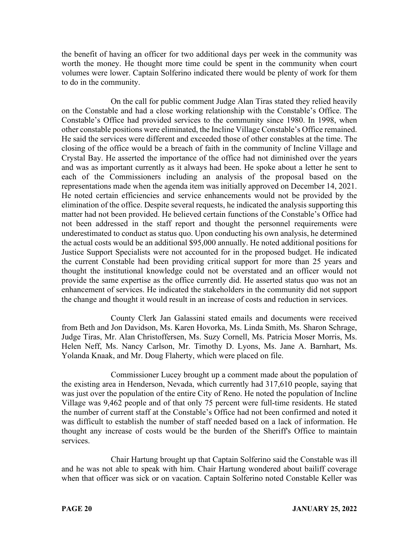the benefit of having an officer for two additional days per week in the community was worth the money. He thought more time could be spent in the community when court volumes were lower. Captain Solferino indicated there would be plenty of work for them to do in the community.

On the call for public comment Judge Alan Tiras stated they relied heavily on the Constable and had a close working relationship with the Constable's Office. The Constable's Office had provided services to the community since 1980. In 1998, when other constable positions were eliminated, the Incline Village Constable's Office remained. He said the services were different and exceeded those of other constables at the time. The closing of the office would be a breach of faith in the community of Incline Village and Crystal Bay. He asserted the importance of the office had not diminished over the years and was as important currently as it always had been. He spoke about a letter he sent to each of the Commissioners including an analysis of the proposal based on the representations made when the agenda item was initially approved on December 14, 2021. He noted certain efficiencies and service enhancements would not be provided by the elimination of the office. Despite several requests, he indicated the analysis supporting this matter had not been provided. He believed certain functions of the Constable's Office had not been addressed in the staff report and thought the personnel requirements were underestimated to conduct as status quo. Upon conducting his own analysis, he determined the actual costs would be an additional \$95,000 annually. He noted additional positions for Justice Support Specialists were not accounted for in the proposed budget. He indicated the current Constable had been providing critical support for more than 25 years and thought the institutional knowledge could not be overstated and an officer would not provide the same expertise as the office currently did. He asserted status quo was not an enhancement of services. He indicated the stakeholders in the community did not support the change and thought it would result in an increase of costs and reduction in services.

County Clerk Jan Galassini stated emails and documents were received from Beth and Jon Davidson, Ms. Karen Hovorka, Ms. Linda Smith, Ms. Sharon Schrage, Judge Tiras, Mr. Alan Christoffersen, Ms. Suzy Cornell, Ms. Patricia Moser Morris, Ms. Helen Neff, Ms. Nancy Carlson, Mr. Timothy D. Lyons, Ms. Jane A. Barnhart, Ms. Yolanda Knaak, and Mr. Doug Flaherty, which were placed on file.

Commissioner Lucey brought up a comment made about the population of the existing area in Henderson, Nevada, which currently had 317,610 people, saying that was just over the population of the entire City of Reno. He noted the population of Incline Village was 9,462 people and of that only 75 percent were full-time residents. He stated the number of current staff at the Constable's Office had not been confirmed and noted it was difficult to establish the number of staff needed based on a lack of information. He thought any increase of costs would be the burden of the Sheriff's Office to maintain services.

Chair Hartung brought up that Captain Solferino said the Constable was ill and he was not able to speak with him. Chair Hartung wondered about bailiff coverage when that officer was sick or on vacation. Captain Solferino noted Constable Keller was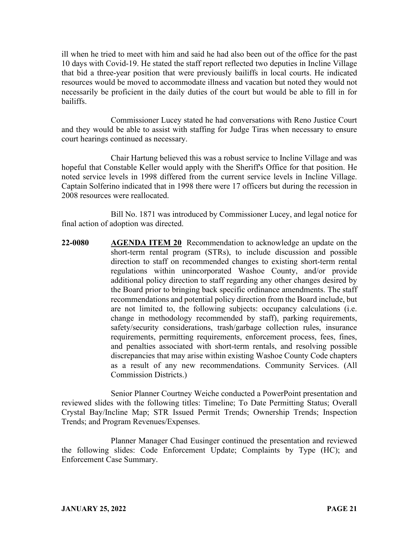ill when he tried to meet with him and said he had also been out of the office for the past 10 days with Covid-19. He stated the staff report reflected two deputies in Incline Village that bid a three-year position that were previously bailiffs in local courts. He indicated resources would be moved to accommodate illness and vacation but noted they would not necessarily be proficient in the daily duties of the court but would be able to fill in for bailiffs.

Commissioner Lucey stated he had conversations with Reno Justice Court and they would be able to assist with staffing for Judge Tiras when necessary to ensure court hearings continued as necessary.

Chair Hartung believed this was a robust service to Incline Village and was hopeful that Constable Keller would apply with the Sheriff's Office for that position. He noted service levels in 1998 differed from the current service levels in Incline Village. Captain Solferino indicated that in 1998 there were 17 officers but during the recession in 2008 resources were reallocated.

Bill No. 1871 was introduced by Commissioner Lucey, and legal notice for final action of adoption was directed.

**22-0080 AGENDA ITEM 20** Recommendation to acknowledge an update on the short-term rental program (STRs), to include discussion and possible direction to staff on recommended changes to existing short-term rental regulations within unincorporated Washoe County, and/or provide additional policy direction to staff regarding any other changes desired by the Board prior to bringing back specific ordinance amendments. The staff recommendations and potential policy direction from the Board include, but are not limited to, the following subjects: occupancy calculations (i.e. change in methodology recommended by staff), parking requirements, safety/security considerations, trash/garbage collection rules, insurance requirements, permitting requirements, enforcement process, fees, fines, and penalties associated with short-term rentals, and resolving possible discrepancies that may arise within existing Washoe County Code chapters as a result of any new recommendations. Community Services. (All Commission Districts.)

Senior Planner Courtney Weiche conducted a PowerPoint presentation and reviewed slides with the following titles: Timeline; To Date Permitting Status; Overall Crystal Bay/Incline Map; STR Issued Permit Trends; Ownership Trends; Inspection Trends; and Program Revenues/Expenses.

Planner Manager Chad Eusinger continued the presentation and reviewed the following slides: Code Enforcement Update; Complaints by Type (HC); and Enforcement Case Summary.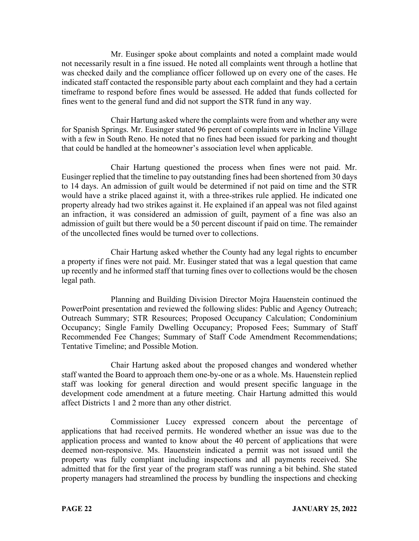Mr. Eusinger spoke about complaints and noted a complaint made would not necessarily result in a fine issued. He noted all complaints went through a hotline that was checked daily and the compliance officer followed up on every one of the cases. He indicated staff contacted the responsible party about each complaint and they had a certain timeframe to respond before fines would be assessed. He added that funds collected for fines went to the general fund and did not support the STR fund in any way.

Chair Hartung asked where the complaints were from and whether any were for Spanish Springs. Mr. Eusinger stated 96 percent of complaints were in Incline Village with a few in South Reno. He noted that no fines had been issued for parking and thought that could be handled at the homeowner's association level when applicable.

Chair Hartung questioned the process when fines were not paid. Mr. Eusinger replied that the timeline to pay outstanding fines had been shortened from 30 days to 14 days. An admission of guilt would be determined if not paid on time and the STR would have a strike placed against it, with a three-strikes rule applied. He indicated one property already had two strikes against it. He explained if an appeal was not filed against an infraction, it was considered an admission of guilt, payment of a fine was also an admission of guilt but there would be a 50 percent discount if paid on time. The remainder of the uncollected fines would be turned over to collections.

Chair Hartung asked whether the County had any legal rights to encumber a property if fines were not paid. Mr. Eusinger stated that was a legal question that came up recently and he informed staff that turning fines over to collections would be the chosen legal path.

Planning and Building Division Director Mojra Hauenstein continued the PowerPoint presentation and reviewed the following slides: Public and Agency Outreach; Outreach Summary; STR Resources; Proposed Occupancy Calculation; Condominium Occupancy; Single Family Dwelling Occupancy; Proposed Fees; Summary of Staff Recommended Fee Changes; Summary of Staff Code Amendment Recommendations; Tentative Timeline; and Possible Motion.

Chair Hartung asked about the proposed changes and wondered whether staff wanted the Board to approach them one-by-one or as a whole. Ms. Hauenstein replied staff was looking for general direction and would present specific language in the development code amendment at a future meeting. Chair Hartung admitted this would affect Districts 1 and 2 more than any other district.

Commissioner Lucey expressed concern about the percentage of applications that had received permits. He wondered whether an issue was due to the application process and wanted to know about the 40 percent of applications that were deemed non-responsive. Ms. Hauenstein indicated a permit was not issued until the property was fully compliant including inspections and all payments received. She admitted that for the first year of the program staff was running a bit behind. She stated property managers had streamlined the process by bundling the inspections and checking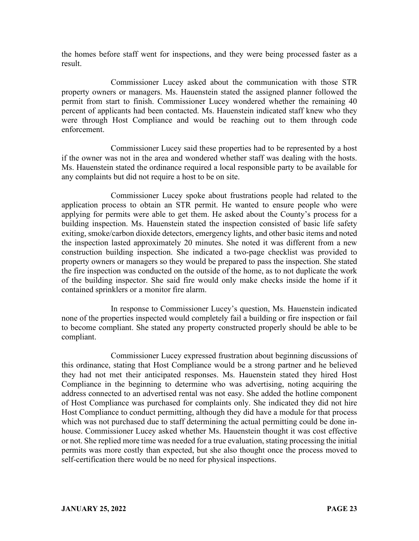the homes before staff went for inspections, and they were being processed faster as a result.

Commissioner Lucey asked about the communication with those STR property owners or managers. Ms. Hauenstein stated the assigned planner followed the permit from start to finish. Commissioner Lucey wondered whether the remaining 40 percent of applicants had been contacted. Ms. Hauenstein indicated staff knew who they were through Host Compliance and would be reaching out to them through code enforcement.

Commissioner Lucey said these properties had to be represented by a host if the owner was not in the area and wondered whether staff was dealing with the hosts. Ms. Hauenstein stated the ordinance required a local responsible party to be available for any complaints but did not require a host to be on site.

Commissioner Lucey spoke about frustrations people had related to the application process to obtain an STR permit. He wanted to ensure people who were applying for permits were able to get them. He asked about the County's process for a building inspection. Ms. Hauenstein stated the inspection consisted of basic life safety exiting, smoke/carbon dioxide detectors, emergency lights, and other basic items and noted the inspection lasted approximately 20 minutes. She noted it was different from a new construction building inspection. She indicated a two-page checklist was provided to property owners or managers so they would be prepared to pass the inspection. She stated the fire inspection was conducted on the outside of the home, as to not duplicate the work of the building inspector. She said fire would only make checks inside the home if it contained sprinklers or a monitor fire alarm.

In response to Commissioner Lucey's question, Ms. Hauenstein indicated none of the properties inspected would completely fail a building or fire inspection or fail to become compliant. She stated any property constructed properly should be able to be compliant.

Commissioner Lucey expressed frustration about beginning discussions of this ordinance, stating that Host Compliance would be a strong partner and he believed they had not met their anticipated responses. Ms. Hauenstein stated they hired Host Compliance in the beginning to determine who was advertising, noting acquiring the address connected to an advertised rental was not easy. She added the hotline component of Host Compliance was purchased for complaints only. She indicated they did not hire Host Compliance to conduct permitting, although they did have a module for that process which was not purchased due to staff determining the actual permitting could be done inhouse. Commissioner Lucey asked whether Ms. Hauenstein thought it was cost effective or not. She replied more time was needed for a true evaluation, stating processing the initial permits was more costly than expected, but she also thought once the process moved to self-certification there would be no need for physical inspections.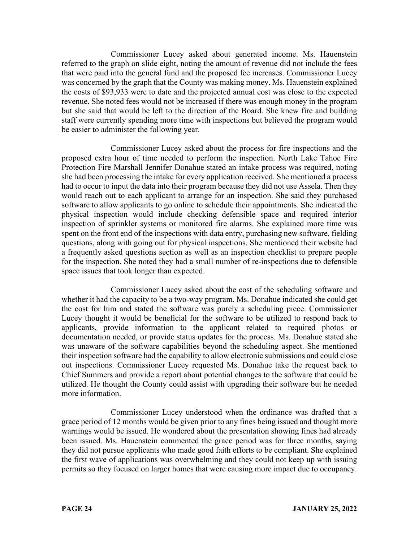Commissioner Lucey asked about generated income. Ms. Hauenstein referred to the graph on slide eight, noting the amount of revenue did not include the fees that were paid into the general fund and the proposed fee increases. Commissioner Lucey was concerned by the graph that the County was making money. Ms. Hauenstein explained the costs of \$93,933 were to date and the projected annual cost was close to the expected revenue. She noted fees would not be increased if there was enough money in the program but she said that would be left to the direction of the Board. She knew fire and building staff were currently spending more time with inspections but believed the program would be easier to administer the following year.

Commissioner Lucey asked about the process for fire inspections and the proposed extra hour of time needed to perform the inspection. North Lake Tahoe Fire Protection Fire Marshall Jennifer Donahue stated an intake process was required, noting she had been processing the intake for every application received. She mentioned a process had to occur to input the data into their program because they did not use Assela. Then they would reach out to each applicant to arrange for an inspection. She said they purchased software to allow applicants to go online to schedule their appointments. She indicated the physical inspection would include checking defensible space and required interior inspection of sprinkler systems or monitored fire alarms. She explained more time was spent on the front end of the inspections with data entry, purchasing new software, fielding questions, along with going out for physical inspections. She mentioned their website had a frequently asked questions section as well as an inspection checklist to prepare people for the inspection. She noted they had a small number of re-inspections due to defensible space issues that took longer than expected.

Commissioner Lucey asked about the cost of the scheduling software and whether it had the capacity to be a two-way program. Ms. Donahue indicated she could get the cost for him and stated the software was purely a scheduling piece. Commissioner Lucey thought it would be beneficial for the software to be utilized to respond back to applicants, provide information to the applicant related to required photos or documentation needed, or provide status updates for the process. Ms. Donahue stated she was unaware of the software capabilities beyond the scheduling aspect. She mentioned their inspection software had the capability to allow electronic submissions and could close out inspections. Commissioner Lucey requested Ms. Donahue take the request back to Chief Summers and provide a report about potential changes to the software that could be utilized. He thought the County could assist with upgrading their software but he needed more information.

Commissioner Lucey understood when the ordinance was drafted that a grace period of 12 months would be given prior to any fines being issued and thought more warnings would be issued. He wondered about the presentation showing fines had already been issued. Ms. Hauenstein commented the grace period was for three months, saying they did not pursue applicants who made good faith efforts to be compliant. She explained the first wave of applications was overwhelming and they could not keep up with issuing permits so they focused on larger homes that were causing more impact due to occupancy.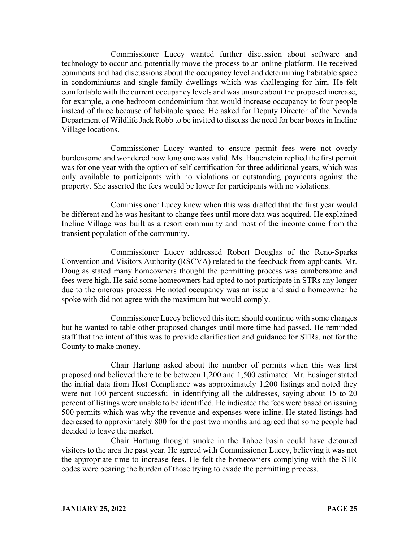Commissioner Lucey wanted further discussion about software and technology to occur and potentially move the process to an online platform. He received comments and had discussions about the occupancy level and determining habitable space in condominiums and single-family dwellings which was challenging for him. He felt comfortable with the current occupancy levels and was unsure about the proposed increase, for example, a one-bedroom condominium that would increase occupancy to four people instead of three because of habitable space. He asked for Deputy Director of the Nevada Department of Wildlife Jack Robb to be invited to discuss the need for bear boxes in Incline Village locations.

Commissioner Lucey wanted to ensure permit fees were not overly burdensome and wondered how long one was valid. Ms. Hauenstein replied the first permit was for one year with the option of self-certification for three additional years, which was only available to participants with no violations or outstanding payments against the property. She asserted the fees would be lower for participants with no violations.

Commissioner Lucey knew when this was drafted that the first year would be different and he was hesitant to change fees until more data was acquired. He explained Incline Village was built as a resort community and most of the income came from the transient population of the community.

Commissioner Lucey addressed Robert Douglas of the Reno-Sparks Convention and Visitors Authority (RSCVA) related to the feedback from applicants. Mr. Douglas stated many homeowners thought the permitting process was cumbersome and fees were high. He said some homeowners had opted to not participate in STRs any longer due to the onerous process. He noted occupancy was an issue and said a homeowner he spoke with did not agree with the maximum but would comply.

Commissioner Lucey believed this item should continue with some changes but he wanted to table other proposed changes until more time had passed. He reminded staff that the intent of this was to provide clarification and guidance for STRs, not for the County to make money.

Chair Hartung asked about the number of permits when this was first proposed and believed there to be between 1,200 and 1,500 estimated. Mr. Eusinger stated the initial data from Host Compliance was approximately 1,200 listings and noted they were not 100 percent successful in identifying all the addresses, saying about 15 to 20 percent of listings were unable to be identified. He indicated the fees were based on issuing 500 permits which was why the revenue and expenses were inline. He stated listings had decreased to approximately 800 for the past two months and agreed that some people had decided to leave the market.

Chair Hartung thought smoke in the Tahoe basin could have detoured visitors to the area the past year. He agreed with Commissioner Lucey, believing it was not the appropriate time to increase fees. He felt the homeowners complying with the STR codes were bearing the burden of those trying to evade the permitting process.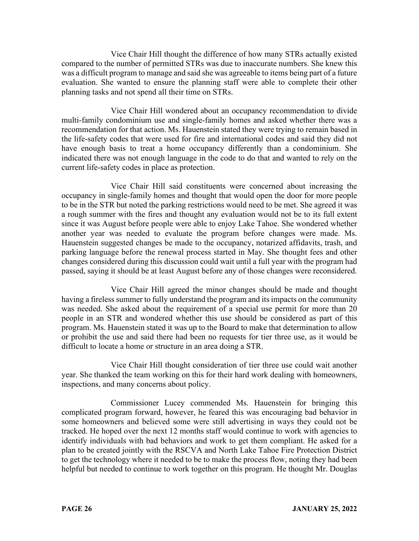Vice Chair Hill thought the difference of how many STRs actually existed compared to the number of permitted STRs was due to inaccurate numbers. She knew this was a difficult program to manage and said she was agreeable to items being part of a future evaluation. She wanted to ensure the planning staff were able to complete their other planning tasks and not spend all their time on STRs.

Vice Chair Hill wondered about an occupancy recommendation to divide multi-family condominium use and single-family homes and asked whether there was a recommendation for that action. Ms. Hauenstein stated they were trying to remain based in the life-safety codes that were used for fire and international codes and said they did not have enough basis to treat a home occupancy differently than a condominium. She indicated there was not enough language in the code to do that and wanted to rely on the current life-safety codes in place as protection.

Vice Chair Hill said constituents were concerned about increasing the occupancy in single-family homes and thought that would open the door for more people to be in the STR but noted the parking restrictions would need to be met. She agreed it was a rough summer with the fires and thought any evaluation would not be to its full extent since it was August before people were able to enjoy Lake Tahoe. She wondered whether another year was needed to evaluate the program before changes were made. Ms. Hauenstein suggested changes be made to the occupancy, notarized affidavits, trash, and parking language before the renewal process started in May. She thought fees and other changes considered during this discussion could wait until a full year with the program had passed, saying it should be at least August before any of those changes were reconsidered.

Vice Chair Hill agreed the minor changes should be made and thought having a fireless summer to fully understand the program and its impacts on the community was needed. She asked about the requirement of a special use permit for more than 20 people in an STR and wondered whether this use should be considered as part of this program. Ms. Hauenstein stated it was up to the Board to make that determination to allow or prohibit the use and said there had been no requests for tier three use, as it would be difficult to locate a home or structure in an area doing a STR.

Vice Chair Hill thought consideration of tier three use could wait another year. She thanked the team working on this for their hard work dealing with homeowners, inspections, and many concerns about policy.

Commissioner Lucey commended Ms. Hauenstein for bringing this complicated program forward, however, he feared this was encouraging bad behavior in some homeowners and believed some were still advertising in ways they could not be tracked. He hoped over the next 12 months staff would continue to work with agencies to identify individuals with bad behaviors and work to get them compliant. He asked for a plan to be created jointly with the RSCVA and North Lake Tahoe Fire Protection District to get the technology where it needed to be to make the process flow, noting they had been helpful but needed to continue to work together on this program. He thought Mr. Douglas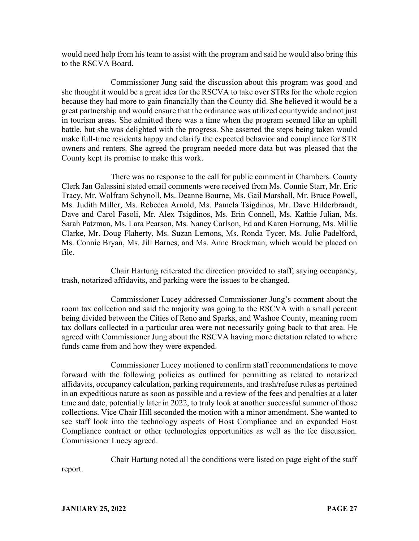would need help from his team to assist with the program and said he would also bring this to the RSCVA Board.

Commissioner Jung said the discussion about this program was good and she thought it would be a great idea for the RSCVA to take over STRs for the whole region because they had more to gain financially than the County did. She believed it would be a great partnership and would ensure that the ordinance was utilized countywide and not just in tourism areas. She admitted there was a time when the program seemed like an uphill battle, but she was delighted with the progress. She asserted the steps being taken would make full-time residents happy and clarify the expected behavior and compliance for STR owners and renters. She agreed the program needed more data but was pleased that the County kept its promise to make this work.

There was no response to the call for public comment in Chambers. County Clerk Jan Galassini stated email comments were received from Ms. Connie Starr, Mr. Eric Tracy, Mr. Wolfram Schynoll, Ms. Deanne Bourne, Ms. Gail Marshall, Mr. Bruce Powell, Ms. Judith Miller, Ms. Rebecca Arnold, Ms. Pamela Tsigdinos, Mr. Dave Hilderbrandt, Dave and Carol Fasoli, Mr. Alex Tsigdinos, Ms. Erin Connell, Ms. Kathie Julian, Ms. Sarah Patzman, Ms. Lara Pearson, Ms. Nancy Carlson, Ed and Karen Hornung, Ms. Millie Clarke, Mr. Doug Flaherty, Ms. Suzan Lemons, Ms. Ronda Tycer, Ms. Julie Padelford, Ms. Connie Bryan, Ms. Jill Barnes, and Ms. Anne Brockman, which would be placed on file.

Chair Hartung reiterated the direction provided to staff, saying occupancy, trash, notarized affidavits, and parking were the issues to be changed.

Commissioner Lucey addressed Commissioner Jung's comment about the room tax collection and said the majority was going to the RSCVA with a small percent being divided between the Cities of Reno and Sparks, and Washoe County, meaning room tax dollars collected in a particular area were not necessarily going back to that area. He agreed with Commissioner Jung about the RSCVA having more dictation related to where funds came from and how they were expended.

Commissioner Lucey motioned to confirm staff recommendations to move forward with the following policies as outlined for permitting as related to notarized affidavits, occupancy calculation, parking requirements, and trash/refuse rules as pertained in an expeditious nature as soon as possible and a review of the fees and penalties at a later time and date, potentially later in 2022, to truly look at another successful summer of those collections. Vice Chair Hill seconded the motion with a minor amendment. She wanted to see staff look into the technology aspects of Host Compliance and an expanded Host Compliance contract or other technologies opportunities as well as the fee discussion. Commissioner Lucey agreed.

Chair Hartung noted all the conditions were listed on page eight of the staff

report.